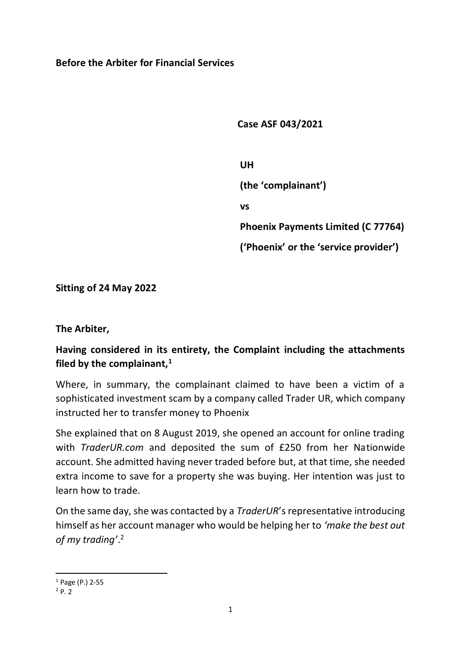#### **Before the Arbiter for Financial Services**

 **Case ASF 043/2021**

 **UH**

 **(the 'complainant')**

 **vs**

 **Phoenix Payments Limited (C 77764)**

 **('Phoenix' or the 'service provider')**

**Sitting of 24 May 2022**

**The Arbiter,**

# **Having considered in its entirety, the Complaint including the attachments filed by the complainant,<sup>1</sup>**

Where, in summary, the complainant claimed to have been a victim of a sophisticated investment scam by a company called Trader UR, which company instructed her to transfer money to Phoenix

She explained that on 8 August 2019, she opened an account for online trading with *TraderUR.com* and deposited the sum of £250 from her Nationwide account. She admitted having never traded before but, at that time, she needed extra income to save for a property she was buying. Her intention was just to learn how to trade.

On the same day, she was contacted by a *TraderUR*'s representative introducing himself as her account manager who would be helping her to *'make the best out of my trading'*. 2

 $1$  Page (P.) 2-55

 $^{2}P.2$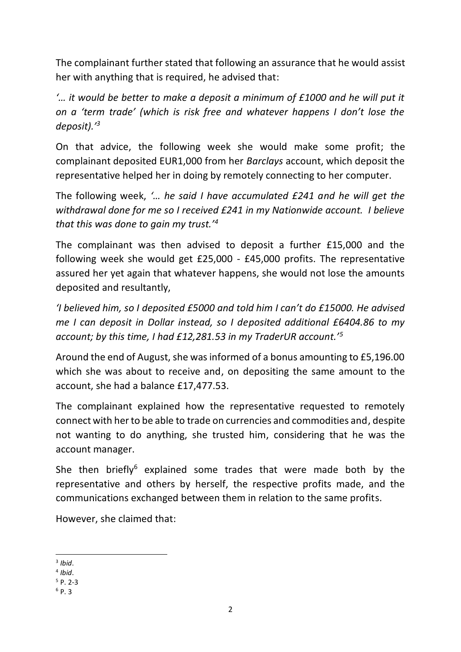The complainant further stated that following an assurance that he would assist her with anything that is required, he advised that:

*'… it would be better to make a deposit a minimum of £1000 and he will put it on a 'term trade' (which is risk free and whatever happens I don't lose the deposit).'<sup>3</sup>* 

On that advice, the following week she would make some profit; the complainant deposited EUR1,000 from her *Barclays* account, which deposit the representative helped her in doing by remotely connecting to her computer.

The following week, *'… he said I have accumulated £241 and he will get the withdrawal done for me so I received £241 in my Nationwide account. I believe that this was done to gain my trust.'<sup>4</sup>*

The complainant was then advised to deposit a further £15,000 and the following week she would get £25,000 - £45,000 profits. The representative assured her yet again that whatever happens, she would not lose the amounts deposited and resultantly,

*'I believed him, so I deposited £5000 and told him I can't do £15000. He advised me I can deposit in Dollar instead, so I deposited additional £6404.86 to my account; by this time, I had £12,281.53 in my TraderUR account.'<sup>5</sup>*

Around the end of August, she was informed of a bonus amounting to £5,196.00 which she was about to receive and, on depositing the same amount to the account, she had a balance £17,477.53.

The complainant explained how the representative requested to remotely connect with her to be able to trade on currencies and commodities and, despite not wanting to do anything, she trusted him, considering that he was the account manager.

She then briefly<sup>6</sup> explained some trades that were made both by the representative and others by herself, the respective profits made, and the communications exchanged between them in relation to the same profits.

However, she claimed that:

<sup>3</sup> *Ibid*.

<sup>4</sup> *Ibid*.

 $5$  P. 2-3

 $6$  P. 3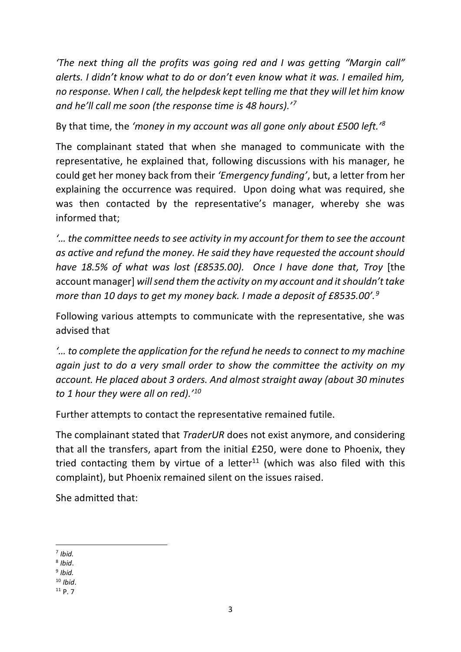*'The next thing all the profits was going red and I was getting "Margin call" alerts. I didn't know what to do or don't even know what it was. I emailed him, no response. When I call, the helpdesk kept telling me that they will let him know and he'll call me soon (the response time is 48 hours).'<sup>7</sup>*

By that time, the *'money in my account was all gone only about £500 left.'<sup>8</sup>*

The complainant stated that when she managed to communicate with the representative, he explained that, following discussions with his manager, he could get her money back from their *'Emergency funding'*, but, a letter from her explaining the occurrence was required. Upon doing what was required, she was then contacted by the representative's manager, whereby she was informed that;

*'… the committee needs to see activity in my account for them to see the account as active and refund the money. He said they have requested the account should have 18.5% of what was lost (£8535.00). Once I have done that, Troy* [the account manager] *will send them the activity on my account and it shouldn't take more than 10 days to get my money back. I made a deposit of £8535.00'.<sup>9</sup>*

Following various attempts to communicate with the representative, she was advised that

*'… to complete the application for the refund he needs to connect to my machine again just to do a very small order to show the committee the activity on my account. He placed about 3 orders. And almost straight away (about 30 minutes to 1 hour they were all on red).'<sup>10</sup>*

Further attempts to contact the representative remained futile.

The complainant stated that *TraderUR* does not exist anymore, and considering that all the transfers, apart from the initial £250, were done to Phoenix, they tried contacting them by virtue of a letter<sup>11</sup> (which was also filed with this complaint), but Phoenix remained silent on the issues raised.

She admitted that:

<sup>7</sup> *Ibid.*

<sup>8</sup> *Ibid*.

<sup>9</sup> *Ibid.*

<sup>10</sup> *Ibid*.

<sup>11</sup> P. 7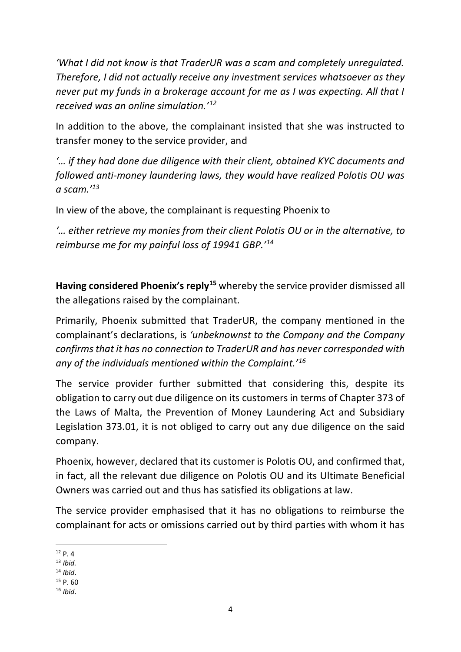*'What I did not know is that TraderUR was a scam and completely unregulated. Therefore, I did not actually receive any investment services whatsoever as they never put my funds in a brokerage account for me as I was expecting. All that I received was an online simulation.'<sup>12</sup>*

In addition to the above, the complainant insisted that she was instructed to transfer money to the service provider, and

*'… if they had done due diligence with their client, obtained KYC documents and followed anti-money laundering laws, they would have realized Polotis OU was a scam.'<sup>13</sup>*

In view of the above, the complainant is requesting Phoenix to

*'… either retrieve my monies from their client Polotis OU or in the alternative, to reimburse me for my painful loss of 19941 GBP.'<sup>14</sup>*

**Having considered Phoenix's reply<sup>15</sup>** whereby the service provider dismissed all the allegations raised by the complainant.

Primarily, Phoenix submitted that TraderUR, the company mentioned in the complainant's declarations, is *'unbeknownst to the Company and the Company confirms that it has no connection to TraderUR and has never corresponded with any of the individuals mentioned within the Complaint.'<sup>16</sup>*

The service provider further submitted that considering this, despite its obligation to carry out due diligence on its customers in terms of Chapter 373 of the Laws of Malta, the Prevention of Money Laundering Act and Subsidiary Legislation 373.01, it is not obliged to carry out any due diligence on the said company.

Phoenix, however, declared that its customer is Polotis OU, and confirmed that, in fact, all the relevant due diligence on Polotis OU and its Ultimate Beneficial Owners was carried out and thus has satisfied its obligations at law.

The service provider emphasised that it has no obligations to reimburse the complainant for acts or omissions carried out by third parties with whom it has

 $12$  P. 4

<sup>13</sup> *Ibid.*

<sup>14</sup> *Ibid*.

 $15$  P. 60

<sup>16</sup> *Ibid*.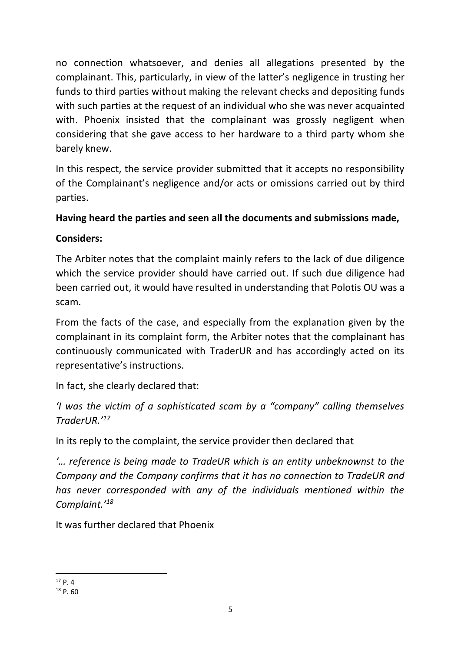no connection whatsoever, and denies all allegations presented by the complainant. This, particularly, in view of the latter's negligence in trusting her funds to third parties without making the relevant checks and depositing funds with such parties at the request of an individual who she was never acquainted with. Phoenix insisted that the complainant was grossly negligent when considering that she gave access to her hardware to a third party whom she barely knew.

In this respect, the service provider submitted that it accepts no responsibility of the Complainant's negligence and/or acts or omissions carried out by third parties.

# **Having heard the parties and seen all the documents and submissions made,**

# **Considers:**

The Arbiter notes that the complaint mainly refers to the lack of due diligence which the service provider should have carried out. If such due diligence had been carried out, it would have resulted in understanding that Polotis OU was a scam.

From the facts of the case, and especially from the explanation given by the complainant in its complaint form, the Arbiter notes that the complainant has continuously communicated with TraderUR and has accordingly acted on its representative's instructions.

In fact, she clearly declared that:

*'I was the victim of a sophisticated scam by a "company" calling themselves TraderUR.'<sup>17</sup>* 

In its reply to the complaint, the service provider then declared that

*'… reference is being made to TradeUR which is an entity unbeknownst to the Company and the Company confirms that it has no connection to TradeUR and has never corresponded with any of the individuals mentioned within the Complaint.'<sup>18</sup>*

It was further declared that Phoenix

 $17$  p.  $4$ 

<sup>18</sup> P. 60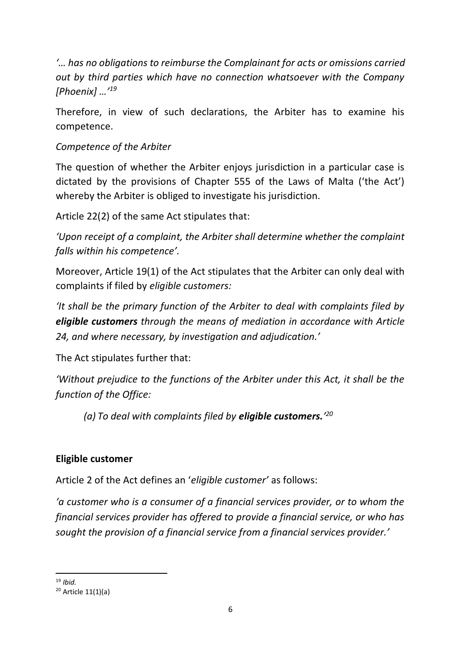*'… has no obligations to reimburse the Complainant for acts or omissions carried out by third parties which have no connection whatsoever with the Company [Phoenix] …'<sup>19</sup>*

Therefore, in view of such declarations, the Arbiter has to examine his competence.

#### *Competence of the Arbiter*

The question of whether the Arbiter enjoys jurisdiction in a particular case is dictated by the provisions of Chapter 555 of the Laws of Malta ('the Act') whereby the Arbiter is obliged to investigate his jurisdiction.

Article 22(2) of the same Act stipulates that:

*'Upon receipt of a complaint, the Arbiter shall determine whether the complaint falls within his competence'.*

Moreover, Article 19(1) of the Act stipulates that the Arbiter can only deal with complaints if filed by *eligible customers:*

*'It shall be the primary function of the Arbiter to deal with complaints filed by eligible customers through the means of mediation in accordance with Article 24, and where necessary, by investigation and adjudication.'*

The Act stipulates further that:

*'Without prejudice to the functions of the Arbiter under this Act, it shall be the function of the Office:*

*(a) To deal with complaints filed by eligible customers.' 20*

#### **Eligible customer**

Article 2 of the Act defines an '*eligible customer'* as follows:

*'a customer who is a consumer of a financial services provider, or to whom the financial services provider has offered to provide a financial service, or who has sought the provision of a financial service from a financial services provider.'* 

<sup>19</sup> *Ibid.* 

<sup>20</sup> Article 11(1)(a)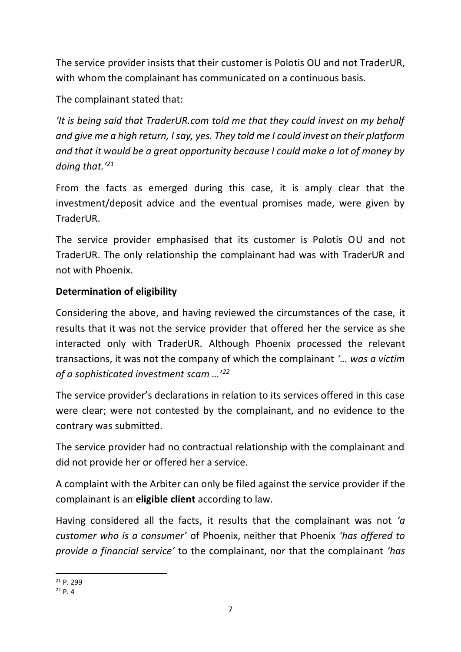The service provider insists that their customer is Polotis OU and not TraderUR, with whom the complainant has communicated on a continuous basis.

The complainant stated that:

*'It is being said that TraderUR.com told me that they could invest on my behalf and give me a high return, I say, yes. They told me I could invest on their platform and that it would be a great opportunity because I could make a lot of money by doing that.'<sup>21</sup>*

From the facts as emerged during this case, it is amply clear that the investment/deposit advice and the eventual promises made, were given by TraderUR.

The service provider emphasised that its customer is Polotis OU and not TraderUR. The only relationship the complainant had was with TraderUR and not with Phoenix.

# **Determination of eligibility**

Considering the above, and having reviewed the circumstances of the case, it results that it was not the service provider that offered her the service as she interacted only with TraderUR. Although Phoenix processed the relevant transactions, it was not the company of which the complainant *'… was a victim of a sophisticated investment scam …'<sup>22</sup>* 

The service provider's declarations in relation to its services offered in this case were clear; were not contested by the complainant, and no evidence to the contrary was submitted.

The service provider had no contractual relationship with the complainant and did not provide her or offered her a service.

A complaint with the Arbiter can only be filed against the service provider if the complainant is an **eligible client** according to law.

Having considered all the facts, it results that the complainant was not *'a customer who is a consumer'* of Phoenix, neither that Phoenix *'has offered to provide a financial service'* to the complainant, nor that the complainant *'has* 

 $21 p. 299$ 

<sup>22</sup> P. 4